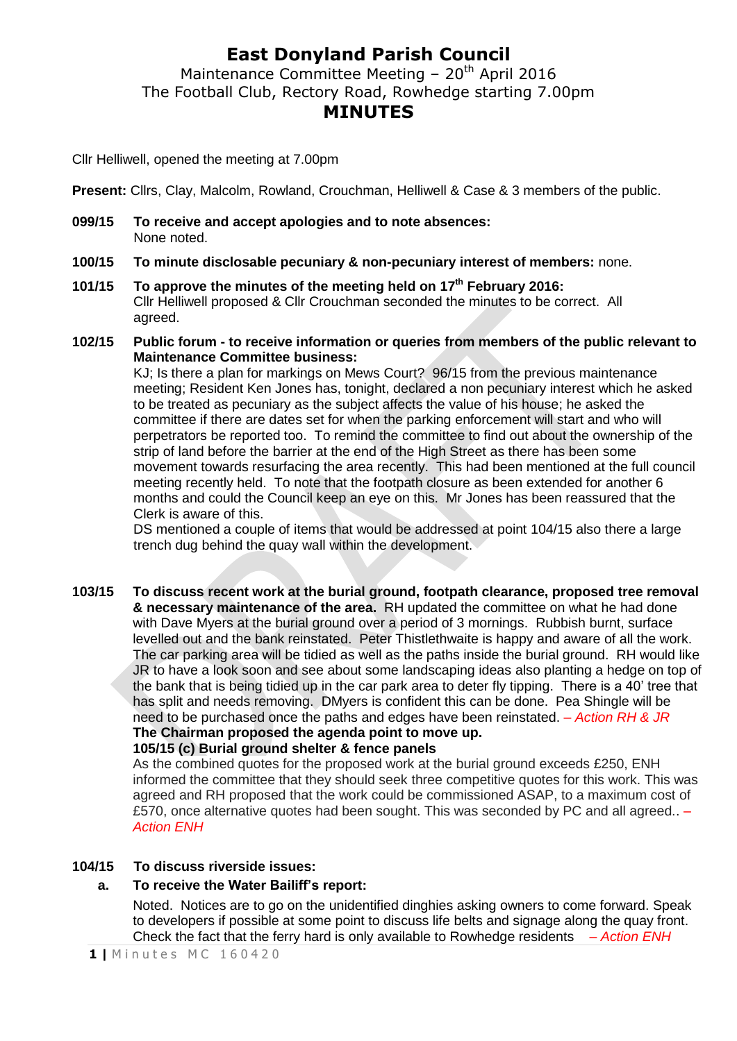## **East Donyland Parish Council**

Maintenance Committee Meeting –  $20<sup>th</sup>$  April 2016 The Football Club, Rectory Road, Rowhedge starting 7.00pm **MINUTES**

Cllr Helliwell, opened the meeting at 7.00pm

**Present:** Cllrs, Clay, Malcolm, Rowland, Crouchman, Helliwell & Case & 3 members of the public.

- **099/15 To receive and accept apologies and to note absences:** None noted.
- **100/15 To minute disclosable pecuniary & non-pecuniary interest of members:** none.
- **101/15 To approve the minutes of the meeting held on 17th February 2016:** Cllr Helliwell proposed & Cllr Crouchman seconded the minutes to be correct. All agreed.
- **102/15 Public forum - to receive information or queries from members of the public relevant to Maintenance Committee business:**

KJ; Is there a plan for markings on Mews Court?96/15 from the previous maintenance meeting; Resident Ken Jones has, tonight, declared a non pecuniary interest which he asked to be treated as pecuniary as the subject affects the value of his house; he asked the committee if there are dates set for when the parking enforcement will start and who will perpetrators be reported too. To remind the committee to find out about the ownership of the strip of land before the barrier at the end of the High Street as there has been some movement towards resurfacing the area recently. This had been mentioned at the full council meeting recently held. To note that the footpath closure as been extended for another 6 months and could the Council keep an eye on this. Mr Jones has been reassured that the Clerk is aware of this.

DS mentioned a couple of items that would be addressed at point 104/15 also there a large trench dug behind the quay wall within the development.

**103/15 To discuss recent work at the burial ground, footpath clearance, proposed tree removal & necessary maintenance of the area.** RH updated the committee on what he had done with Dave Myers at the burial ground over a period of 3 mornings. Rubbish burnt, surface levelled out and the bank reinstated. Peter Thistlethwaite is happy and aware of all the work. The car parking area will be tidied as well as the paths inside the burial ground. RH would like JR to have a look soon and see about some landscaping ideas also planting a hedge on top of the bank that is being tidied up in the car park area to deter fly tipping. There is a 40' tree that has split and needs removing. DMyers is confident this can be done. Pea Shingle will be need to be purchased once the paths and edges have been reinstated. *– Action RH & JR* **The Chairman proposed the agenda point to move up. 105/15 (c) Burial ground shelter & fence panels**

As the combined quotes for the proposed work at the burial ground exceeds £250, ENH informed the committee that they should seek three competitive quotes for this work. This was agreed and RH proposed that the work could be commissioned ASAP, to a maximum cost of £570, once alternative quotes had been sought. This was seconded by PC and all agreed.. *– Action ENH*

#### **104/15 To discuss riverside issues:**

### **a. To receive the Water Bailiff's report:**

Noted.Notices are to go on the unidentified dinghies asking owners to come forward. Speak to developers if possible at some point to discuss life belts and signage along the quay front. Check the fact that the ferry hard is only available to Rowhedge residents *– Action ENH*